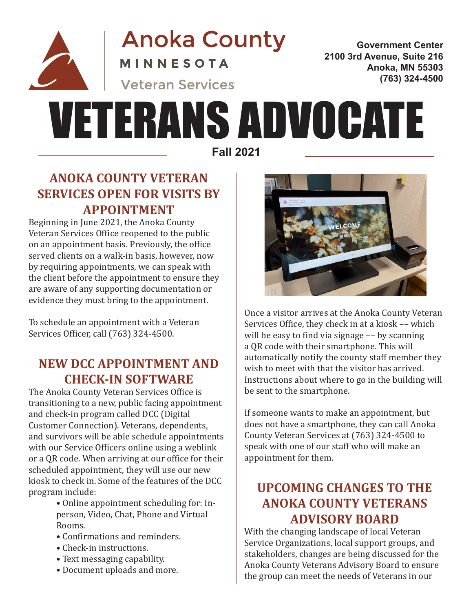

**Anoka County MINNESOTA** 

**Veteran Services** 

**Government Center 2100 3rd Avenue, Suite 216 Anoka, MN 55303 (763) 324-4500**

# **Fall 2021** VETERANS ADVOCATE

## **ANOKA COUNTY VETERAN SERVICES OPEN FOR VISITS BY APPOINTMENT**

Beginning in June 2021, the Anoka County Veteran Services Office reopened to the public on an appointment basis. Previously, the office served clients on a walk-in basis, however, now by requiring appointments, we can speak with the client before the appointment to ensure they are aware of any supporting documentation or evidence they must bring to the appointment.

To schedule an appointment with a Veteran Services Officer, call (763) 324-4500.

## **NEW DCC APPOINTMENT AND CHECK-IN SOFTWARE**

The Anoka County Veteran Services Office is transitioning to a new, public facing appointment and check-in program called DCC (Digital Customer Connection). Veterans, dependents, and survivors will be able schedule appointments with our Service Officers online using a weblink or a QR code. When arriving at our office for their scheduled appointment, they will use our new kiosk to check in. Some of the features of the DCC program include:

- Online appointment scheduling for: In person, Video, Chat, Phone and Virtual Rooms.
- Confirmations and reminders.
- Check-in instructions.
- Text messaging capability.
- Document uploads and more.



Once a visitor arrives at the Anoka County Veteran Services Office, they check in at a kiosk –– which will be easy to find via signage –– by scanning a QR code with their smartphone. This will automatically notify the county staff member they wish to meet with that the visitor has arrived. Instructions about where to go in the building will be sent to the smartphone.

If someone wants to make an appointment, but does not have a smartphone, they can call Anoka County Veteran Services at (763) 324-4500 to speak with one of our staff who will make an appointment for them.

## **UPCOMING CHANGES TO THE ANOKA COUNTY VETERANS ADVISORY BOARD**

With the changing landscape of local Veteran Service Organizations, local support groups, and stakeholders, changes are being discussed for the Anoka County Veterans Advisory Board to ensure the group can meet the needs of Veterans in our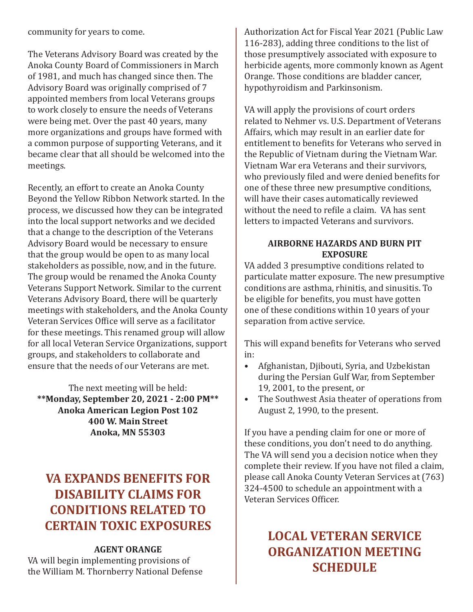community for years to come.

The Veterans Advisory Board was created by the Anoka County Board of Commissioners in March of 1981, and much has changed since then. The Advisory Board was originally comprised of 7 appointed members from local Veterans groups to work closely to ensure the needs of Veterans were being met. Over the past 40 years, many more organizations and groups have formed with a common purpose of supporting Veterans, and it became clear that all should be welcomed into the meetings.

Recently, an effort to create an Anoka County Beyond the Yellow Ribbon Network started. In the process, we discussed how they can be integrated into the local support networks and we decided that a change to the description of the Veterans Advisory Board would be necessary to ensure that the group would be open to as many local stakeholders as possible, now, and in the future. The group would be renamed the Anoka County Veterans Support Network. Similar to the current Veterans Advisory Board, there will be quarterly meetings with stakeholders, and the Anoka County Veteran Services Office will serve as a facilitator for these meetings. This renamed group will allow for all local Veteran Service Organizations, support groups, and stakeholders to collaborate and ensure that the needs of our Veterans are met.

The next meeting will be held: **\*\*Monday, September 20, 2021 - 2:00 PM\*\* Anoka American Legion Post 102 400 W. Main Street Anoka, MN 55303**

## **VA EXPANDS BENEFITS FOR DISABILITY CLAIMS FOR CONDITIONS RELATED TO CERTAIN TOXIC EXPOSURES**

#### **AGENT ORANGE**

VA will begin implementing provisions of the William M. Thornberry National Defense Authorization Act for Fiscal Year 2021 (Public Law 116-283), adding three conditions to the list of those presumptively associated with exposure to herbicide agents, more commonly known as Agent Orange. Those conditions are bladder cancer, hypothyroidism and Parkinsonism.

VA will apply the provisions of court orders related to Nehmer vs. U.S. Department of Veterans Affairs, which may result in an earlier date for entitlement to benefits for Veterans who served in the Republic of Vietnam during the Vietnam War. Vietnam War era Veterans and their survivors, who previously filed and were denied benefits for one of these three new presumptive conditions, will have their cases automatically reviewed without the need to refile a claim. VA has sent letters to impacted Veterans and survivors.

#### **AIRBORNE HAZARDS AND BURN PIT EXPOSURE**

VA added 3 presumptive conditions related to particulate matter exposure. The new presumptive conditions are asthma, rhinitis, and sinusitis. To be eligible for benefits, you must have gotten one of these conditions within 10 years of your separation from active service.

This will expand benefits for Veterans who served in:

- Afghanistan, Djibouti, Syria, and Uzbekistan during the Persian Gulf War, from September 19, 2001, to the present, or
- The Southwest Asia theater of operations from August 2, 1990, to the present.

If you have a pending claim for one or more of these conditions, you don't need to do anything. The VA will send you a decision notice when they complete their review. If you have not filed a claim, please call Anoka County Veteran Services at (763) 324-4500 to schedule an appointment with a Veteran Services Officer.

## **LOCAL VETERAN SERVICE ORGANIZATION MEETING SCHEDULE**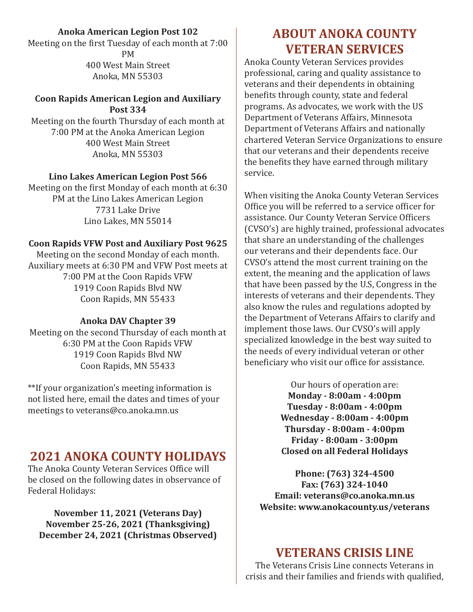#### **Anoka American Legion Post 102**

Meeting on the first Tuesday of each month at 7:00 PM 400 West Main Street Anoka, MN 55303

#### **Coon Rapids American Legion and Auxiliary Post 334**

Meeting on the fourth Thursday of each month at 7:00 PM at the Anoka American Legion 400 West Main Street Anoka, MN 55303

#### **Lino Lakes American Legion Post 566**

Meeting on the first Monday of each month at 6:30 PM at the Lino Lakes American Legion 7731 Lake Drive Lino Lakes, MN 55014

#### **Coon Rapids VFW Post and Auxiliary Post 9625**

Meeting on the second Monday of each month. Auxiliary meets at 6:30 PM and VFW Post meets at 7:00 PM at the Coon Rapids VFW 1919 Coon Rapids Blvd NW Coon Rapids, MN 55433

#### **Anoka DAV Chapter 39**

Meeting on the second Thursday of each month at 6:30 PM at the Coon Rapids VFW 1919 Coon Rapids Blvd NW Coon Rapids, MN 55433

\*\*If your organization's meeting information is not listed here, email the dates and times of your meetings to veterans@co.anoka.mn.us

## **2021 ANOKA COUNTY HOLIDAYS**

The Anoka County Veteran Services Office will be closed on the following dates in observance of Federal Holidays:

**November 11, 2021 (Veterans Day) November 25-26, 2021 (Thanksgiving) December 24, 2021 (Christmas Observed)**

## **ABOUT ANOKA COUNTY VETERAN SERVICES**

Anoka County Veteran Services provides professional, caring and quality assistance to veterans and their dependents in obtaining benefits through county, state and federal programs. As advocates, we work with the US Department of Veterans Affairs, Minnesota Department of Veterans Affairs and nationally chartered Veteran Service Organizations to ensure that our veterans and their dependents receive the benefits they have earned through military service.

When visiting the Anoka County Veteran Services Office you will be referred to a service officer for assistance. Our County Veteran Service Officers (CVSO's) are highly trained, professional advocates that share an understanding of the challenges our veterans and their dependents face. Our CVSO's attend the most current training on the extent, the meaning and the application of laws that have been passed by the U.S, Congress in the interests of veterans and their dependents. They also know the rules and regulations adopted by the Department of Veterans Affairs to clarify and implement those laws. Our CVSO's will apply specialized knowledge in the best way suited to the needs of every individual veteran or other beneficiary who visit our office for assistance.

> Our hours of operation are: **Monday - 8:00am - 4:00pm Tuesday - 8:00am - 4:00pm Wednesday - 8:00am - 4:00pm Thursday - 8:00am - 4:00pm Friday - 8:00am - 3:00pm Closed on all Federal Holidays**

**Phone: (763) 324-4500 Fax: (763) 324-1040 Email: veterans@co.anoka.mn.us Website: www.anokacounty.us/veterans**

### **VETERANS CRISIS LINE**

The Veterans Crisis Line connects Veterans in crisis and their families and friends with qualified,